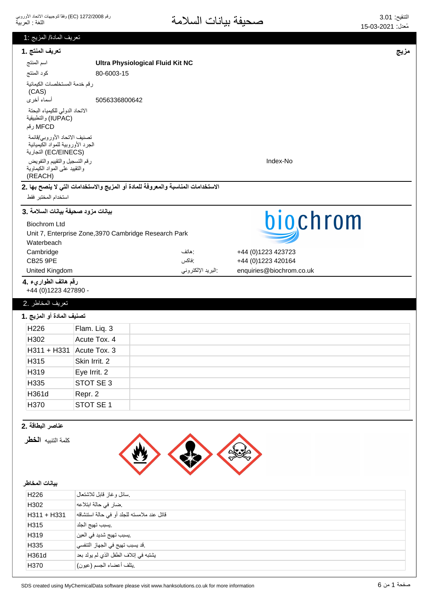| تعريف المادة/ المزيج :1                                                                   |                                                                                  |      |
|-------------------------------------------------------------------------------------------|----------------------------------------------------------------------------------|------|
| تعريف المنتج .1                                                                           |                                                                                  | مزيج |
| اسم المنتج                                                                                | <b>Ultra Physiological Fluid Kit NC</b>                                          |      |
| كود المنتج                                                                                | 80-6003-15                                                                       |      |
| رقم خدمة المستخلصات الكيمائية<br>(CAS)<br>أسماء أخرى                                      | 5056336800642                                                                    |      |
| الاتحاد الدولى للكيمياء البحتة<br>(IUPAC) والتطبيقية<br>MFCD رقم                          |                                                                                  |      |
| تصنيف الاتحاد الأوروبي/قائمة<br>الجرد الأوروبية للمواد الكيميائية<br>(EC/EINECS) التجارية |                                                                                  |      |
| رقم التسجيل والتقييم والتفويض<br>والنقييد علىى المواد الكيماوية<br>(REACH)                | Index-No                                                                         |      |
|                                                                                           | الاستخدامات المناسبة والمعروفة للمادة أو المزيج والاستخدامات التي لا ينصح بها .2 |      |
| استخدام المختبر فقط                                                                       |                                                                                  |      |
| بيانات مزود صحيفة بيانات السلامة .3                                                       |                                                                                  |      |
| <b>Biochrom Ltd</b>                                                                       | biochrom                                                                         |      |
|                                                                                           | Unit 7, Enterprise Zone, 3970 Cambridge Research Park                            |      |
| Waterbeach                                                                                | +44 (0)1223 423723<br>: هاتف                                                     |      |
| Cambridge<br><b>CB25 9PE</b>                                                              | :فاكس<br>+44 (0)1223 420164                                                      |      |
| United Kingdom                                                                            | البريد الإلكتروني<br>enquiries@biochrom.co.uk                                    |      |
| رقم هاتف الطواريء .4                                                                      |                                                                                  |      |
| +44 (0) 1223 427890 -                                                                     |                                                                                  |      |
| تعريف المخاطر .2                                                                          |                                                                                  |      |
| تصنيف المادة أو المزيج .1                                                                 |                                                                                  |      |
| H226                                                                                      | Flam. Liq. 3                                                                     |      |
| H302                                                                                      | Acute Tox. 4                                                                     |      |
| $H311 + H331$ Acute Tox. 3                                                                |                                                                                  |      |
| H315                                                                                      | Skin Irrit. 2                                                                    |      |
| H319                                                                                      |                                                                                  |      |
|                                                                                           | Eye Irrit. 2                                                                     |      |
| H335                                                                                      | STOT SE 3                                                                        |      |
| H361d                                                                                     | Repr. 2                                                                          |      |
| H370                                                                                      | STOT SE 1                                                                        |      |
| عناصر البطاقة .2                                                                          |                                                                                  |      |
|                                                                                           |                                                                                  |      |
| كلمة التنبيه الخطر                                                                        |                                                                                  |      |
| بيانات المخاطر                                                                            |                                                                                  |      |
| H226                                                                                      | سائل وغاز قابل للاشتعال                                                          |      |
| H302                                                                                      | ضار في حالة ابتلاعه                                                              |      |
| H311 + H331                                                                               | قاتل عند ملامسته للجلد أو في حالة استنشاقه                                       |      |
| H315                                                                                      | يسبب تهيج الجلد                                                                  |      |
| H319                                                                                      | .يسبب تهيج شديد في العين                                                         |      |
| H335                                                                                      | .قد يسبب تهيج في الجهاز التنفسي                                                  |      |
| H361d                                                                                     | يشتبه في إتلاف الطفل الذي لم يولد بعد                                            |      |
| H370                                                                                      | يتلف أعضاء الجسم (عيون)                                                          |      |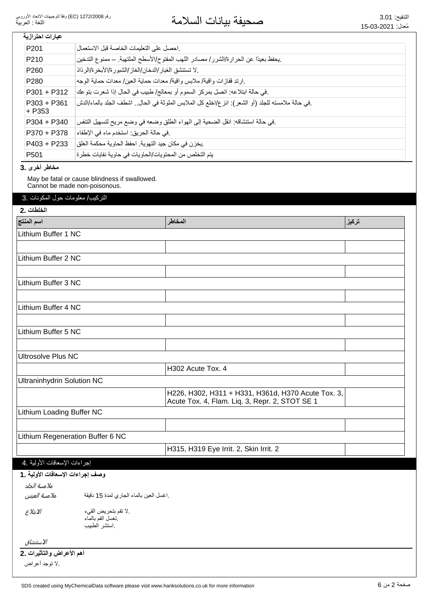# <mark>عبارات احترازية</mark>

| P <sub>201</sub>        | احصل على التعليمات الخاصة قبل الاستعمال                                                          |
|-------------------------|--------------------------------------------------------------------------------------------------|
| P <sub>210</sub>        | .يحفظ بعيدًا عن الحرارة/الشرر/ مصادر اللهب المفتوح/الأسطح الملتهبة. ــ ممنوع التدخين             |
| P <sub>260</sub>        | لا تستنشق الغبار /الدخان/الغاز /الشبور ة/الأبخر ة/الرذاذ                                         |
| P <sub>280</sub>        | .ارندِ قفازات واقية/ ملابس واقية/ معدات حماية العين/ معدات حماية الوجه                           |
| P301 + P312             | في حالة ابتلاعه: اتصل بمركز السموم أو بمعالج/ طبيب في الحال إذا شعرت بتوعك                       |
| P303 + P361<br>$+$ P353 | .في حالة ملامسته للجلد (أو الشعر): انز ع/اخلع كل الملابس الملوثة في الحال اشطف الجلد بالماء/الدش |
| $P304 + P340$           | في حالة استنشاقه: انقل الضحية إلى الهواء الطلق وضعه في وضع مريح لتسهيل التنفس                    |
| P370 + P378             | .في حالة الحريق: استخدم ماء في الإطفاء                                                           |
| $P403 + P233$           | .يخزن في مكان جيد التهوية. احفظ الحاوية محكمة الغلق                                              |
| P <sub>501</sub>        | يتم التخلص من المحتويات/الحاويات في حاوية نفايات خطرة                                            |

سخاطر أخرى .3

May be fatal or cause blindness if swallowed. Cannot be made non-poisonous.

3. التركيب/معلومات حول المكونات

| الخلطات .2                        |                                            |                                                    |       |
|-----------------------------------|--------------------------------------------|----------------------------------------------------|-------|
| اسم المنتج                        |                                            | المخاطر                                            | تركيز |
| Lithium Buffer 1 NC               |                                            |                                                    |       |
|                                   |                                            |                                                    |       |
| Lithium Buffer 2 NC               |                                            |                                                    |       |
|                                   |                                            |                                                    |       |
| Lithium Buffer 3 NC               |                                            |                                                    |       |
|                                   |                                            |                                                    |       |
| Lithium Buffer 4 NC               |                                            |                                                    |       |
|                                   |                                            |                                                    |       |
| Lithium Buffer 5 NC               |                                            |                                                    |       |
|                                   |                                            |                                                    |       |
| <b>Ultrosolve Plus NC</b>         |                                            |                                                    |       |
|                                   |                                            | H302 Acute Tox. 4                                  |       |
| <b>Ultraninhydrin Solution NC</b> |                                            |                                                    |       |
|                                   |                                            | H226, H302, H311 + H331, H361d, H370 Acute Tox. 3, |       |
|                                   |                                            | Acute Tox. 4, Flam. Liq. 3, Repr. 2, STOT SE 1     |       |
| Lithium Loading Buffer NC         |                                            |                                                    |       |
|                                   |                                            |                                                    |       |
|                                   | Lithium Regeneration Buffer 6 NC           |                                                    |       |
|                                   |                                            | H315, H319 Eye Irrit. 2, Skin Irrit. 2             |       |
| إجراءات الإسعافات الأولية .4      |                                            |                                                    |       |
| وصف إجراءات الإسعافات الأولية .1  |                                            |                                                    |       |
| ملامسة الجلد                      |                                            |                                                    |       |
| ملامسة العينين                    | .اغسل العين بالماء الجاري لمدة 15 دقيقة    |                                                    |       |
| الابتلاع                          | لا تقم بتحريض القيء ).<br>تغسل الفم بالماء |                                                    |       |
|                                   | استشر الطبيب                               |                                                    |       |
|                                   |                                            |                                                    |       |

̡̼ͯ̓௪̠͙͆

أهم الأعراض والتأثيرات .2

لا توجد أعراض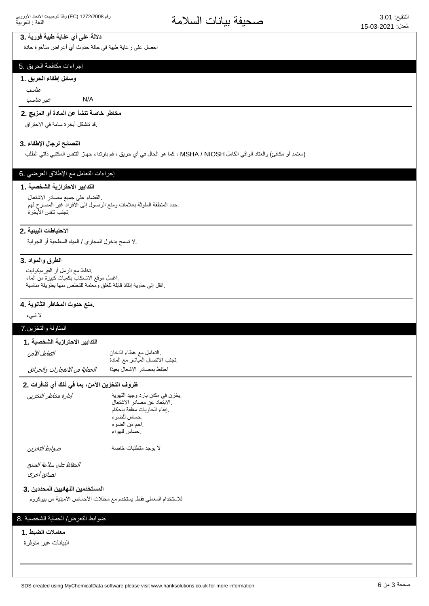# دلالة على أي عناية طبية فورية .3

احصل على رعاية طبية في حالة حدوث أي أعراض متأخرة حادة

#### إجراءات مكافحة الحريق .5

#### وسائل إطفاء الحريق .1

مناسب

͚̠̼̻̓௬̱ N/A

# مخاطر خاصة تنشأ ع*ن* المادة أو المزيج .2

فذ تتشكل أبخرة سامة في الاحتراق.

#### النصائح لرجال الإطفاء .3

(معتمد أو مكافئ) والعتاد الواقي الكامل MSHA / NIOSH ، كما هو الحال في أي حريق ، فم بارتداء جهاز التنفس المكتبي ذاتي الطلب

# (جراءات النعامل مع الإطلاق العرضي .6

## التدابير الاحترازية الشخصية .1

ِ الْقضاء على جميع مصادر الاشتعال حدد المنطقة الملوثة بعلامات ومنع الوصول إلى الأفراد غير المصرح لهم تجنب تنفس الأبخرة

#### الاحتياطات البينية .2

لا تسمح بدخول المجاري / المياه السطحية أو الجوفية.

#### الطرق والمواد 3.

تخلط مع الرمل أو الفيرميكوليت اغسل موقع الانسكاب بكميات كبيرة من الماء انقل إلى حاوية إنقاذ قابلة للغلق ومعلمة للتخلص منها بطريقة مناسبة

#### ـ منع حدوث المخاطر الثانوية. 4

لائنسىء

#### المناولة والتخزين.7

#### التدابير الاحترازية الشخصية . **1**

| التعامل الآمن                  | التعامل مع غطاء الدخان<br>تجنب الاتصال المباشر مع المادة |
|--------------------------------|----------------------------------------------------------|
| الحماية من الانفجارات والحرائق | احتفظ بمصادر الإشعال بعيدًا                              |

#### ظروف التخزين الآمن، بما في ذلك أي تنافرات .2

| إدارة مخاطر التخزين | .يخزن في مكان بارد وجيد التهوية<br>الابتعاد عن مصادر الاشتعال<br>إبقاء الحاويات مغلقة بإحكام<br>حساس للضوء<br>احم من الضوء<br>حساس للهواء |
|---------------------|-------------------------------------------------------------------------------------------------------------------------------------------|
| ضوابط التخزين       | لا بوجد متطلبات خاصة                                                                                                                      |

نصائح أخرى الحفاظ علم سلامة المنتج

#### المستخدمين النهائيين المحددين .3

للاستخدام المعملي فقط يستخدم مع محللات الأحماض الأمينية من بيوكروم

### ضوابط التعرض/ الحماية الشخصية .8

#### معاملات الضبط .1

البيانات غير متوفرة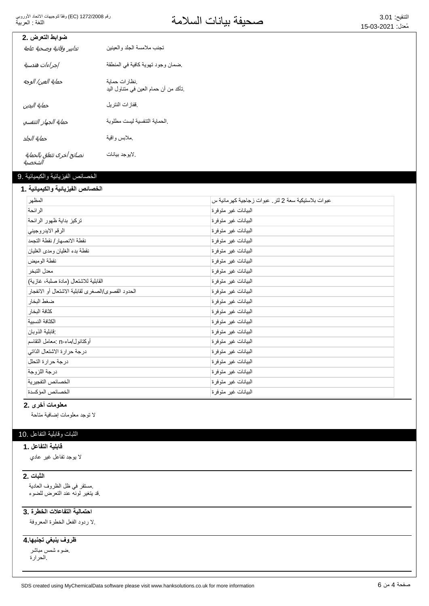التنفيح: 3.01<br>مُزار: 15.03-2021مة

| ضوابط التعرض .2                      |                                                         |
|--------------------------------------|---------------------------------------------------------|
| تدابير وقائبة وصحبة عامة             | تجنب ملامسة الجلد و العينين                             |
| إجراءات هندسية                       | ضمان وجود تهوية كافية في المنطقة                        |
| حماية العين/ الوجه                   | نظار ات حماية<br>ِتَأكد من أن حمام العين في متناول اليد |
| حماية البدين                         | فقاز ات النتر بل                                        |
| حماية الجهاز التنفسي                 | الحماية التنفسية ليست مطلوبة                            |
| حماية الجلد                          | مملابس واقية                                            |
| نصائح أخرى تتعلق بالحماية<br>الشخصية | .لايو جد بيانات                                         |

## الخصائص الفيزيائية والكيميائية .9

## الخصائص الفيزيائية والكيميائية **.1**

| المظهر                                            | عبوات بلاستيكية سعة 2 لتر . عبوات زجاجية كهر مانية س |
|---------------------------------------------------|------------------------------------------------------|
| الرائحة                                           | البيانات غير متوفرة                                  |
| تركيز بداية ظهور الرائحة                          | البيانات غير متوفرة                                  |
| الرقم الايدر وجيني                                | البيانات غير متوفرة                                  |
| نقطة الانصهار / نقطة التجمد                       | البيانات غير متوفرة                                  |
| نقطة بدء الغليان ومدى الغليان                     | البيانات غير متوفرة                                  |
| نقطة الوميض                                       | البيانات غير متوفرة                                  |
| معدل التبخر                                       | البيانات غير متوفرة                                  |
| القابلية للاشتعال (مادة صلبة، غازية)              | البيانات غير متوفرة                                  |
| الحدود القصوى/الصغرى لقابلية الاشتعال أو الانفجار | البيانات غير متوفرة                                  |
| ضغط البخار                                        | البيانات غير متوفرة                                  |
| كثافة البخار                                      | البيانات غير متوفرة                                  |
| الكثافة النسبية                                   | البيانات غير متوفرة                                  |
| فابلية الذوبان                                    | البيانات غير متوفرة                                  |
| أوكتانول/ماء-n :معامل التقاسم                     | البيانات غير متوفرة                                  |
| درجة حرارة الاشتعال الذاتي                        | البيانات غير متوفرة                                  |
| درجة حرارة التحلل                                 | البيانات غير متوفرة                                  |
| درجة اللزوجة                                      | البيانات غير متوفرة                                  |
| الخصائص التفجيرية                                 | البيانات غير متوفرة                                  |
| الخصائص المؤكسدة                                  | البيانات غير متوفرة                                  |

# معلومات أخرى .2

لا توجد معلومات إضافية متاحة

## الثبات وقابلية النفاعل .10

## قابلية التفاعل . **1**

لا بوجد تفاعل غیر عادي

#### **2.** الثبات

مستقر في ظل الظروف العادية فد يتغير لّونه عند التعرّض للضوء.

#### احتمالية التفاعلات الخطرة .3

لا ردود الفعل الخطرة المعروفة.

# ظروف ينبغي تجنبها.4

ضوء شمس مباشر الحرارة.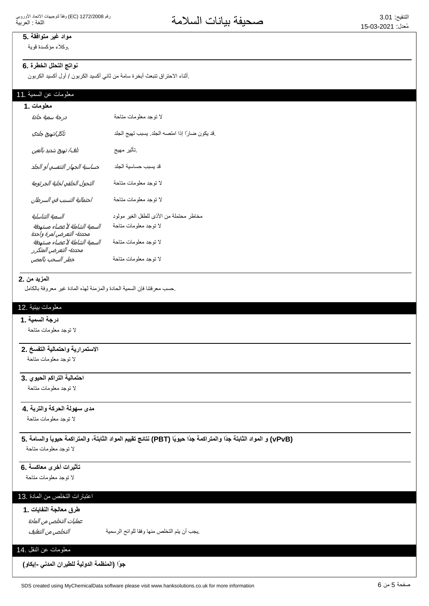# مواد غير متوافقة .5

وكلاء مؤكسدة قوية

# نواتج التحلل الخطرة .6

ِأثناء الاحتراق تنبعث أبخرة سامة من ثاني أكسيد الكربون / أول أكسيد الكربون

#### معلومات عن السمية .11

| معلومات .1                                                |                                                |
|-----------------------------------------------------------|------------------------------------------------|
| درجة سمية حادة                                            | لا نوجد معلومات متاحة                          |
| تآكل/تهيج جلدي                                            | قد يكون ضارًا إذا امتصه الجلد. يسبب تهيج الجلد |
| تلف/ تهيج شديد بالعين                                     | ِتَأْتُير مهيج                                 |
| حساسية الجهاز التنفسي أو الجلد                            | قد يسبب حساسية الجلد                           |
| التحول الخلقي لخلية الجرثومة                              | لا توجد معلومات متاحة                          |
| احتمالية التسبب في السرطان                                | لا توجد معلومات متاحة                          |
| السمية التناسلية                                          | مخاطر محتملة من الأذى للطفل الغير مولود        |
| السمية الشاملة لأعضاء مستهدفة<br>محددة- التعرض لمرة واحدة | لا توجد معلومات متاحة                          |
| السمية الشاملة لاعضاء مستهدفة<br>محددة- التعرض المتكرر    | لا توجد معلومات متاحة                          |
| خطر السحب بالمص                                           | لا توجد معلومات متاحة                          |
|                                                           |                                                |

#### **المزيد من .2**

حسب معر فتنا فإن السمية الحادة والمز منة لهذه المادة غير معر وفة بالكامل

# معلومات بيئية .12

#### **درجة السمية .1**

لا توجد معلومات متاحة

# الاستمرارية واحتمالية التفسخ .2

لا توجد معلومات متاحة

# احتمالية التراكم الحيو*ي* .3

لا توجد معلومات متاحة

# مدى سهولة الحركة والتربة .**4**

لا توجد معلومات متاحة

# (vPvB) و المواد الثابتة جدًا والمتراكمة جدًا حيويًا (PBT) نتائج تقييم المواد الثابتة، والمتراكمة حيوياً والسامة .5

لا نوجد معلومات متاحة

# تأثيرات أخرى معاكسة .6

لا توجد معلومات متاحة

# اعتبارات التخلص من المادة .13

# طرق معالجة النفايات .1

عمليات التخلص من المادة

ͮ௬Ͼ̲௪̺͙ͳ̻ͧϾ̞௪̺͙ ΔϳϣγέϟϭϠϟΎϘϓϭΎϬϧϣιϠΧΗϟϡΗϳϥΏΟϳ.

# معلومات عن النقل .14

جوًا (المنظمة الدولية للطيرا*ن* المدن*ى -إيكاو)*